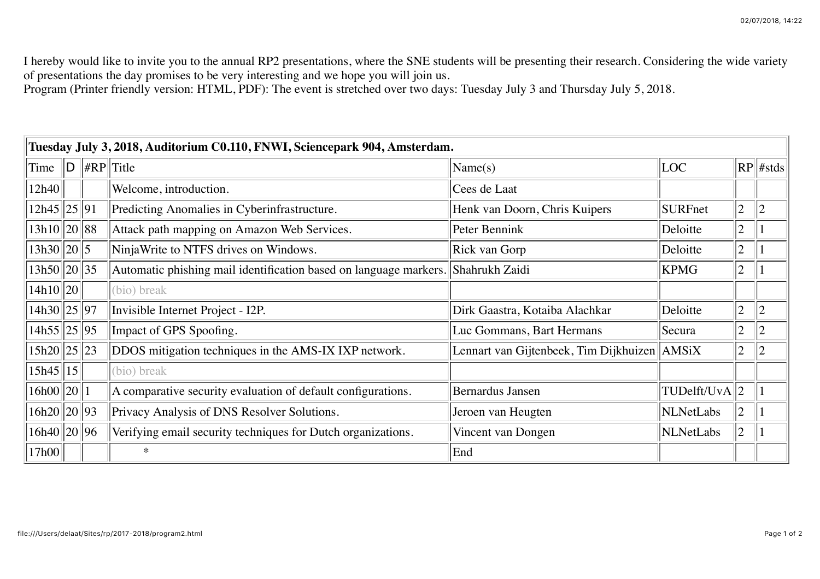I hereby would like to invite you to the annual RP2 presentations, where the SNE students will be presenting their research. Considering the wide variety of presentations the day promises to be very interesting and we hope you will join us.

Program (Printer friendly version: HTML, PDF): The event is stretched over two days: Tuesday July 3 and Thursday July 5, 2018.

| Tuesday July 3, 2018, Auditorium C0.110, FNWI, Sciencepark 904, Amsterdam. |   |  |                                                                                  |                                              |                  |                |                |  |  |  |  |
|----------------------------------------------------------------------------|---|--|----------------------------------------------------------------------------------|----------------------------------------------|------------------|----------------|----------------|--|--|--|--|
| Time                                                                       | D |  | $\  \#RP \ $ Title                                                               | Name(s)                                      | LOC              |                | $RP$ #stds     |  |  |  |  |
| 12h40                                                                      |   |  | Welcome, introduction.                                                           | Cees de Laat                                 |                  |                |                |  |  |  |  |
| 12h45 25 91                                                                |   |  | Predicting Anomalies in Cyberinfrastructure.                                     | Henk van Doorn, Chris Kuipers                | <b>SURFnet</b>   | $\overline{2}$ | $\overline{2}$ |  |  |  |  |
| 13h10  20  88                                                              |   |  | Attack path mapping on Amazon Web Services.                                      | Peter Bennink                                | Deloitte         | $\overline{2}$ |                |  |  |  |  |
| 13h30  20  5                                                               |   |  | NinjaWrite to NTFS drives on Windows.                                            | Rick van Gorp                                | Deloitte         | $\overline{2}$ |                |  |  |  |  |
| 13h50  20  35                                                              |   |  | Automatic phishing mail identification based on language markers. Shahrukh Zaidi |                                              | <b>KPMG</b>      | $\overline{2}$ |                |  |  |  |  |
| 14h10  20                                                                  |   |  | (bio) break                                                                      |                                              |                  |                |                |  |  |  |  |
| 14h30    25    97                                                          |   |  | Invisible Internet Project - I2P.                                                | Dirk Gaastra, Kotaiba Alachkar               | Deloitte         | $\overline{2}$ | $\overline{2}$ |  |  |  |  |
| 14h55  25  95                                                              |   |  | Impact of GPS Spoofing.                                                          | Luc Gommans, Bart Hermans                    | Secura           | $\overline{2}$ |                |  |  |  |  |
| 15h20  25  23                                                              |   |  | DDOS mitigation techniques in the AMS-IX IXP network.                            | Lennart van Gijtenbeek, Tim Dijkhuizen AMSiX |                  | 2              |                |  |  |  |  |
| 15h45 15                                                                   |   |  | (bio) break                                                                      |                                              |                  |                |                |  |  |  |  |
| 16h00  20                                                                  |   |  | A comparative security evaluation of default configurations.                     | <b>Bernardus Jansen</b>                      | TUDelft/UvA  2   |                |                |  |  |  |  |
| 16h20  20  93                                                              |   |  | Privacy Analysis of DNS Resolver Solutions.                                      | Jeroen van Heugten                           | <b>NLNetLabs</b> | $\overline{2}$ |                |  |  |  |  |
| 16h40  20  96                                                              |   |  | Verifying email security techniques for Dutch organizations.                     | Vincent van Dongen                           | NLNetLabs        | $\overline{2}$ |                |  |  |  |  |
| 17h00                                                                      |   |  | $\ast$                                                                           | End                                          |                  |                |                |  |  |  |  |